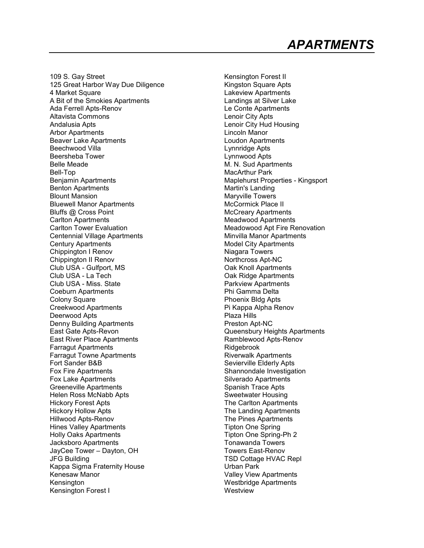109 S. Gay Street 125 Great Harbor Way Due Diligence 4 Market Square A Bit of the Smokies Apartments Ada Ferrell Apts-Renov Altavista Commons Andalusia Apts Arbor Apartments Beaver Lake Apartments Beechwood Villa Beersheba Tower Belle Meade Bell-Top Benjamin Apartments Benton Apartments Blount Mansion Bluewell Manor Apartments Bluffs @ Cross Point Carlton Apartments Carlton Tower Evaluation Centennial Village Apartments Century Apartments Chippington I Renov Chippington II Renov Club USA - Gulfport, MS Club USA - La Tech Club USA - Miss. State Coeburn Apartments Colony Square Creekwood Apartments Deerwood Apts Denny Building Apartments East Gate Apts-Revon East River Place Apartments Farragut Apartments Farragut Towne Apartments Fort Sander B&B Fox Fire Apartments Fox Lake Apartments Greeneville Apartments Helen Ross McNabb Apts Hickory Forest Apts Hickory Hollow Apts Hillwood Apts-Renov Hines Valley Apartments Holly Oaks Apartments Jacksboro Apartments JayCee Tower – Dayton, OH JFG Building Kappa Sigma Fraternity House Kenesaw Manor Kensington Kensington Forest I

Kensington Forest II Kingston Square Apts Lakeview Apartments Landings at Silver Lake Le Conte Apartments Lenoir City Apts Lenoir City Hud Housing Lincoln Manor Loudon Apartments Lynnridge Apts Lynnwood Apts M. N. Sud Apartments MacArthur Park Maplehurst Properties - Kingsport Martin's Landing Maryville Towers McCormick Place II McCreary Apartments Meadwood Apartments Meadowood Apt Fire Renovation Minvilla Manor Apartments Model City Apartments Niagara Towers Northcross Apt-NC Oak Knoll Apartments Oak Ridge Apartments Parkview Apartments Phi Gamma Delta Phoenix Bldg Apts Pi Kappa Alpha Renov Plaza Hills Preston Apt-NC Queensbury Heights Apartments Ramblewood Apts-Renov Ridgebrook Riverwalk Apartments Sevierville Elderly Apts Shannondale Investigation Silverado Apartments Spanish Trace Apts Sweetwater Housing The Carlton Apartments The Landing Apartments The Pines Apartments Tipton One Spring Tipton One Spring-Ph 2 Tonawanda Towers Towers East-Renov TSD Cottage HVAC Repl Urban Park Valley View Apartments Westbridge Apartments **Westview**